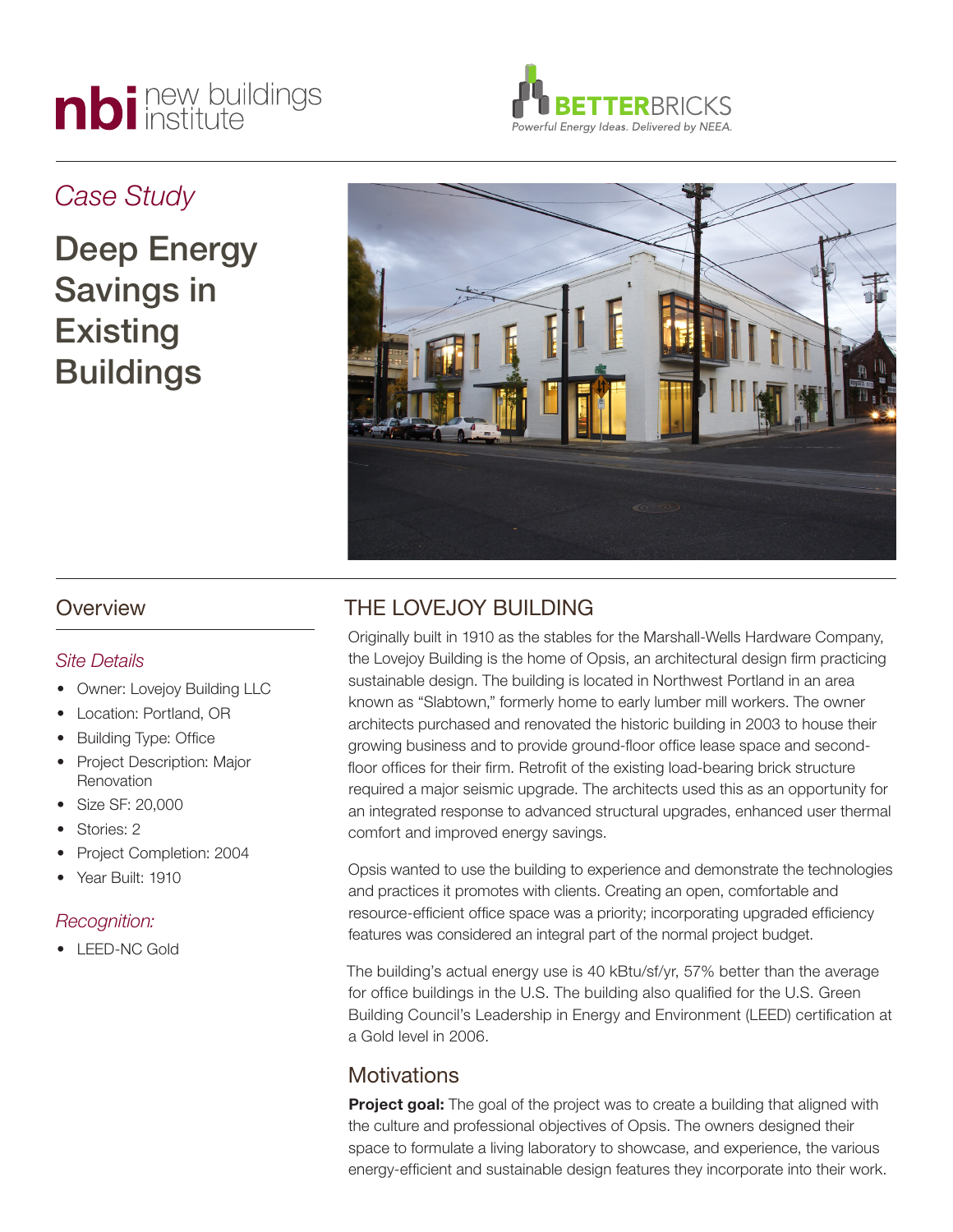# nbi new buildings



## *Case Study*

Deep Energy Savings in **Existing** Buildings



## **Overview**

#### *Site Details*

- **Owner: Lovejoy Building LLC**
- Location: Portland, OR
- **Building Type: Office**
- Project Description: Major **Renovation**
- Size SF: 20,000
- Stories: 2
- Project Completion: 2004
- Year Built: 1910

#### *Recognition:*

• LEED-NC Gold

## THE LOVEJOY BUILDING

Originally built in 1910 as the stables for the Marshall-Wells Hardware Company, the Lovejoy Building is the home of Opsis, an architectural design firm practicing sustainable design. The building is located in Northwest Portland in an area known as "Slabtown," formerly home to early lumber mill workers. The owner architects purchased and renovated the historic building in 2003 to house their growing business and to provide ground-floor office lease space and secondfloor offices for their firm. Retrofit of the existing load-bearing brick structure required a major seismic upgrade. The architects used this as an opportunity for an integrated response to advanced structural upgrades, enhanced user thermal comfort and improved energy savings.

Opsis wanted to use the building to experience and demonstrate the technologies and practices it promotes with clients. Creating an open, comfortable and resource-efficient office space was a priority; incorporating upgraded efficiency features was considered an integral part of the normal project budget.

The building's actual energy use is 40 kBtu/sf/yr, 57% better than the average for office buildings in the U.S. The building also qualified for the U.S. Green Building Council's Leadership in Energy and Environment (LEED) certification at a Gold level in 2006.

## **Motivations**

**Project goal:** The goal of the project was to create a building that aligned with the culture and professional objectives of Opsis. The owners designed their space to formulate a living laboratory to showcase, and experience, the various energy-efficient and sustainable design features they incorporate into their work.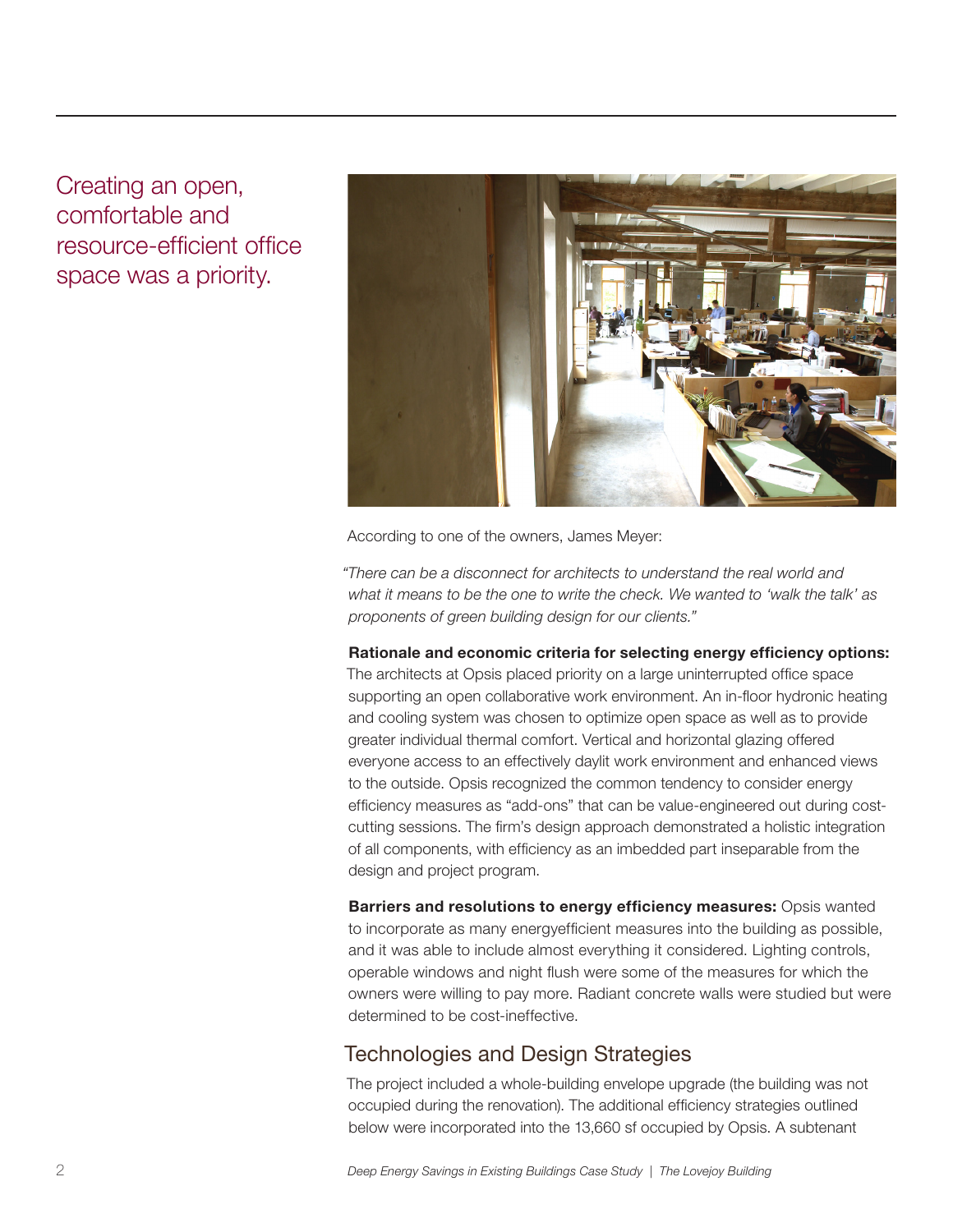Creating an open, comfortable and resource-efficient office space was a priority.



According to one of the owners, James Meyer:

*"There can be a disconnect for architects to understand the real world and what it means to be the one to write the check. We wanted to 'walk the talk' as proponents of green building design for our clients."*

**Rationale and economic criteria for selecting energy efficiency options:** 

The architects at Opsis placed priority on a large uninterrupted office space supporting an open collaborative work environment. An in-floor hydronic heating and cooling system was chosen to optimize open space as well as to provide greater individual thermal comfort. Vertical and horizontal glazing offered everyone access to an effectively daylit work environment and enhanced views to the outside. Opsis recognized the common tendency to consider energy efficiency measures as "add-ons" that can be value-engineered out during costcutting sessions. The firm's design approach demonstrated a holistic integration of all components, with efficiency as an imbedded part inseparable from the design and project program.

**Barriers and resolutions to energy efficiency measures:** Opsis wanted to incorporate as many energyefficient measures into the building as possible, and it was able to include almost everything it considered. Lighting controls, operable windows and night flush were some of the measures for which the owners were willing to pay more. Radiant concrete walls were studied but were determined to be cost-ineffective.

## Technologies and Design Strategies

The project included a whole-building envelope upgrade (the building was not occupied during the renovation). The additional efficiency strategies outlined below were incorporated into the 13,660 sf occupied by Opsis. A subtenant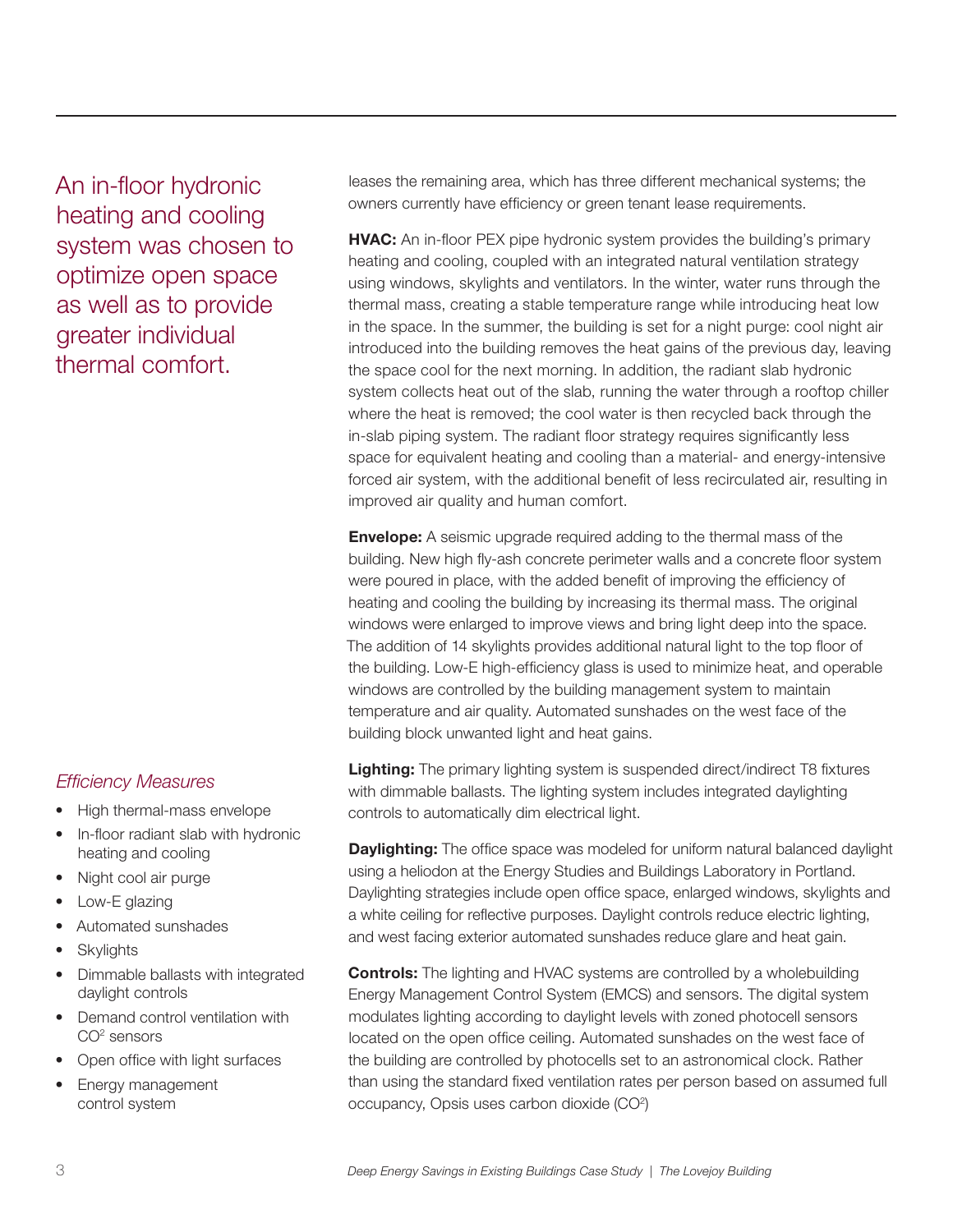An in-floor hydronic heating and cooling system was chosen to optimize open space as well as to provide greater individual thermal comfort.

#### *Efficiency Measures*

- High thermal-mass envelope
- In-floor radiant slab with hydronic heating and cooling
- Night cool air purge
- Low-E glazing
- Automated sunshades
- **Skylights**
- Dimmable ballasts with integrated daylight controls
- Demand control ventilation with CO2 sensors
- • Open office with light surfaces
- Energy management control system

leases the remaining area, which has three different mechanical systems; the owners currently have efficiency or green tenant lease requirements.

**HVAC:** An in-floor PEX pipe hydronic system provides the building's primary heating and cooling, coupled with an integrated natural ventilation strategy using windows, skylights and ventilators. In the winter, water runs through the thermal mass, creating a stable temperature range while introducing heat low in the space. In the summer, the building is set for a night purge: cool night air introduced into the building removes the heat gains of the previous day, leaving the space cool for the next morning. In addition, the radiant slab hydronic system collects heat out of the slab, running the water through a rooftop chiller where the heat is removed; the cool water is then recycled back through the in-slab piping system. The radiant floor strategy requires significantly less space for equivalent heating and cooling than a material- and energy-intensive forced air system, with the additional benefit of less recirculated air, resulting in improved air quality and human comfort.

**Envelope:** A seismic upgrade required adding to the thermal mass of the building. New high fly-ash concrete perimeter walls and a concrete floor system were poured in place, with the added benefit of improving the efficiency of heating and cooling the building by increasing its thermal mass. The original windows were enlarged to improve views and bring light deep into the space. The addition of 14 skylights provides additional natural light to the top floor of the building. Low-E high-efficiency glass is used to minimize heat, and operable windows are controlled by the building management system to maintain temperature and air quality. Automated sunshades on the west face of the building block unwanted light and heat gains.

**Lighting:** The primary lighting system is suspended direct/indirect T8 fixtures with dimmable ballasts. The lighting system includes integrated daylighting controls to automatically dim electrical light.

**Daylighting:** The office space was modeled for uniform natural balanced daylight using a heliodon at the Energy Studies and Buildings Laboratory in Portland. Daylighting strategies include open office space, enlarged windows, skylights and a white ceiling for reflective purposes. Daylight controls reduce electric lighting, and west facing exterior automated sunshades reduce glare and heat gain.

**Controls:** The lighting and HVAC systems are controlled by a wholebuilding Energy Management Control System (EMCS) and sensors. The digital system modulates lighting according to daylight levels with zoned photocell sensors located on the open office ceiling. Automated sunshades on the west face of the building are controlled by photocells set to an astronomical clock. Rather than using the standard fixed ventilation rates per person based on assumed full occupancy, Opsis uses carbon dioxide (CO<sup>2</sup>)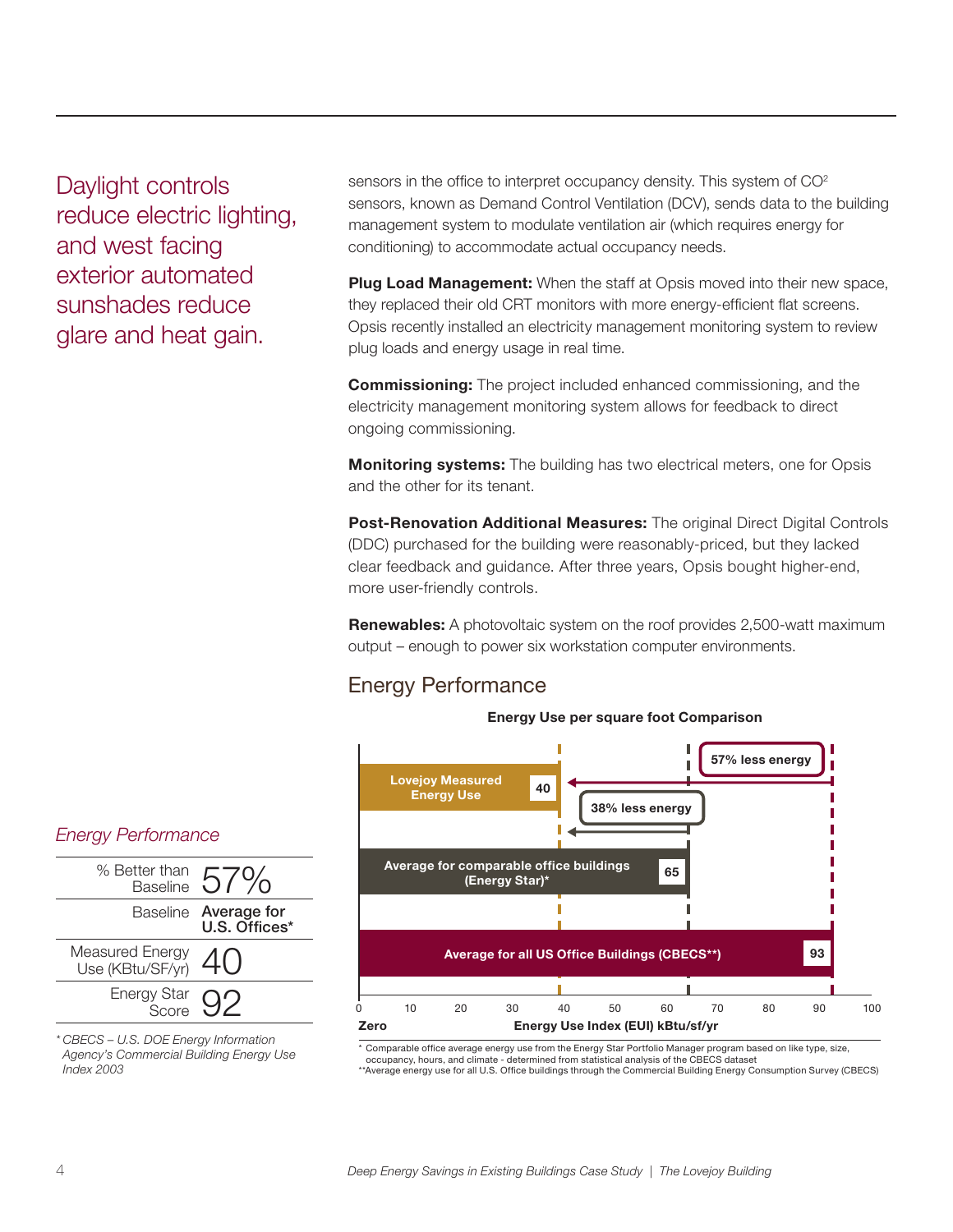Daylight controls reduce electric lighting, and west facing exterior automated sunshades reduce glare and heat gain.

sensors in the office to interpret occupancy density. This system of CO<sup>2</sup> sensors, known as Demand Control Ventilation (DCV), sends data to the building management system to modulate ventilation air (which requires energy for conditioning) to accommodate actual occupancy needs.

**Plug Load Management:** When the staff at Opsis moved into their new space, they replaced their old CRT monitors with more energy-efficient flat screens. Opsis recently installed an electricity management monitoring system to review plug loads and energy usage in real time.

**Commissioning:** The project included enhanced commissioning, and the electricity management monitoring system allows for feedback to direct ongoing commissioning.

**Monitoring systems:** The building has two electrical meters, one for Opsis and the other for its tenant.

**Post-Renovation Additional Measures:** The original Direct Digital Controls (DDC) purchased for the building were reasonably-priced, but they lacked clear feedback and guidance. After three years, Opsis bought higher-end, more user-friendly controls.

**Renewables:** A photovoltaic system on the roof provides 2,500-watt maximum output – enough to power six workstation computer environments.

## Energy Performance

#### **Energy Use per square foot Comparison**



\* Comparable office average energy use from the Energy Star Portfolio Manager program based on like type, size,

occupancy, hours, and climate - determined from statistical analysis of the CBECS dataset

\*\*Average energy use for all U.S. Office buildings through the Commercial Building Energy Consumption Survey (CBECS)

#### *Energy Performance*



*\* CBECS – U.S. DOE Energy Information Agency's Commercial Building Energy Use Index 2003*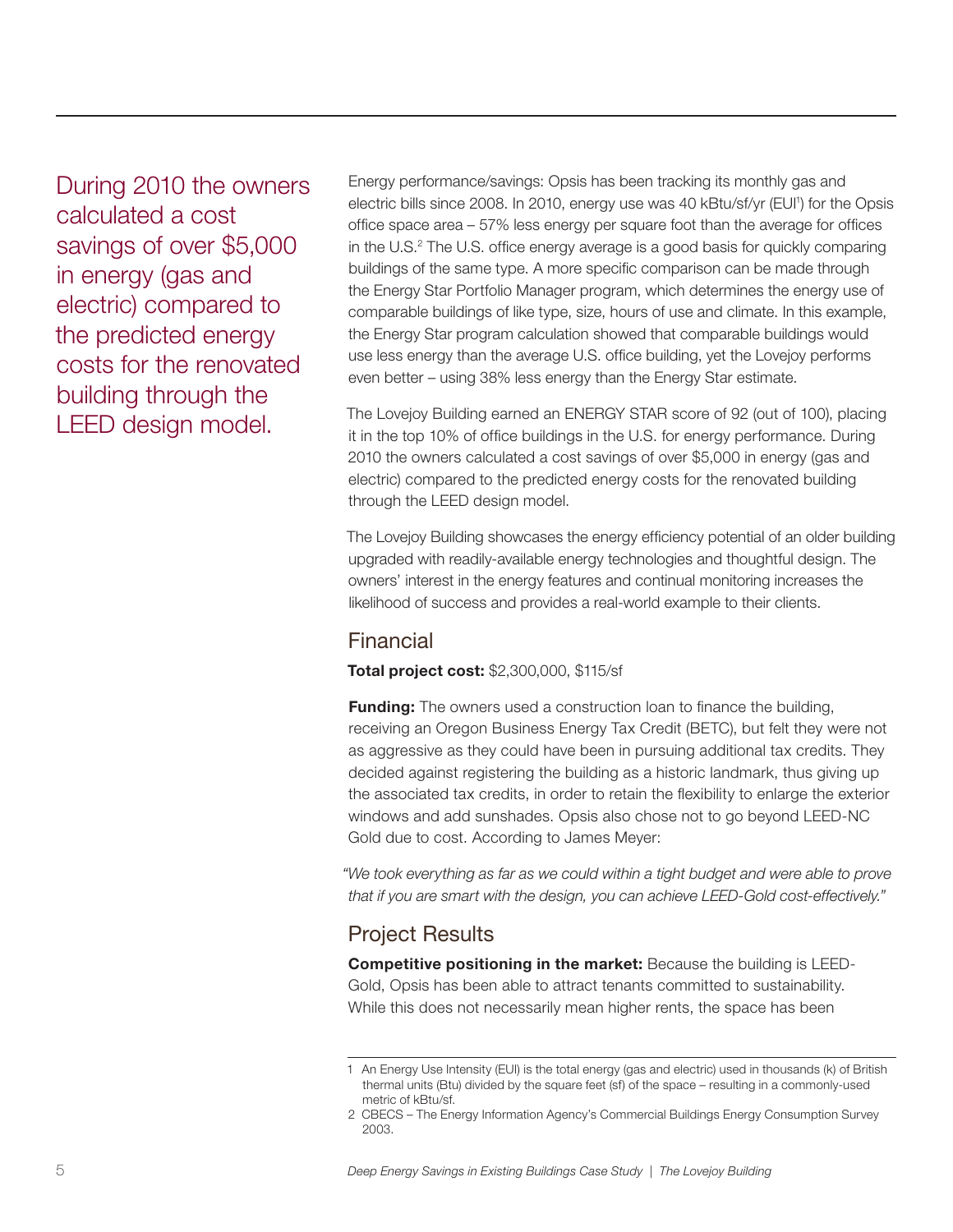During 2010 the owners calculated a cost savings of over \$5,000 in energy (gas and electric) compared to the predicted energy costs for the renovated building through the LEED design model.

Energy performance/savings: Opsis has been tracking its monthly gas and electric bills since 2008. In 2010, energy use was 40 kBtu/sf/yr (EUI<sup>1</sup>) for the Opsis office space area – 57% less energy per square foot than the average for offices in the U.S.<sup>2</sup> The U.S. office energy average is a good basis for quickly comparing buildings of the same type. A more specific comparison can be made through the Energy Star Portfolio Manager program, which determines the energy use of comparable buildings of like type, size, hours of use and climate. In this example, the Energy Star program calculation showed that comparable buildings would use less energy than the average U.S. office building, yet the Lovejoy performs even better – using 38% less energy than the Energy Star estimate.

The Lovejoy Building earned an ENERGY STAR score of 92 (out of 100), placing it in the top 10% of office buildings in the U.S. for energy performance. During 2010 the owners calculated a cost savings of over \$5,000 in energy (gas and electric) compared to the predicted energy costs for the renovated building through the LEED design model.

The Lovejoy Building showcases the energy efficiency potential of an older building upgraded with readily-available energy technologies and thoughtful design. The owners' interest in the energy features and continual monitoring increases the likelihood of success and provides a real-world example to their clients.

## Financial

#### **Total project cost:** \$2,300,000, \$115/sf

**Funding:** The owners used a construction loan to finance the building, receiving an Oregon Business Energy Tax Credit (BETC), but felt they were not as aggressive as they could have been in pursuing additional tax credits. They decided against registering the building as a historic landmark, thus giving up the associated tax credits, in order to retain the flexibility to enlarge the exterior windows and add sunshades. Opsis also chose not to go beyond LEED-NC Gold due to cost. According to James Meyer:

*"We took everything as far as we could within a tight budget and were able to prove that if you are smart with the design, you can achieve LEED-Gold cost-effectively."*

## Project Results

**Competitive positioning in the market:** Because the building is LEED-Gold, Opsis has been able to attract tenants committed to sustainability. While this does not necessarily mean higher rents, the space has been

<sup>1</sup> An Energy Use Intensity (EUI) is the total energy (gas and electric) used in thousands (k) of British thermal units (Btu) divided by the square feet (sf) of the space – resulting in a commonly-used metric of kBtu/sf.

<sup>2</sup> CBECS – The Energy Information Agency's Commercial Buildings Energy Consumption Survey 2003.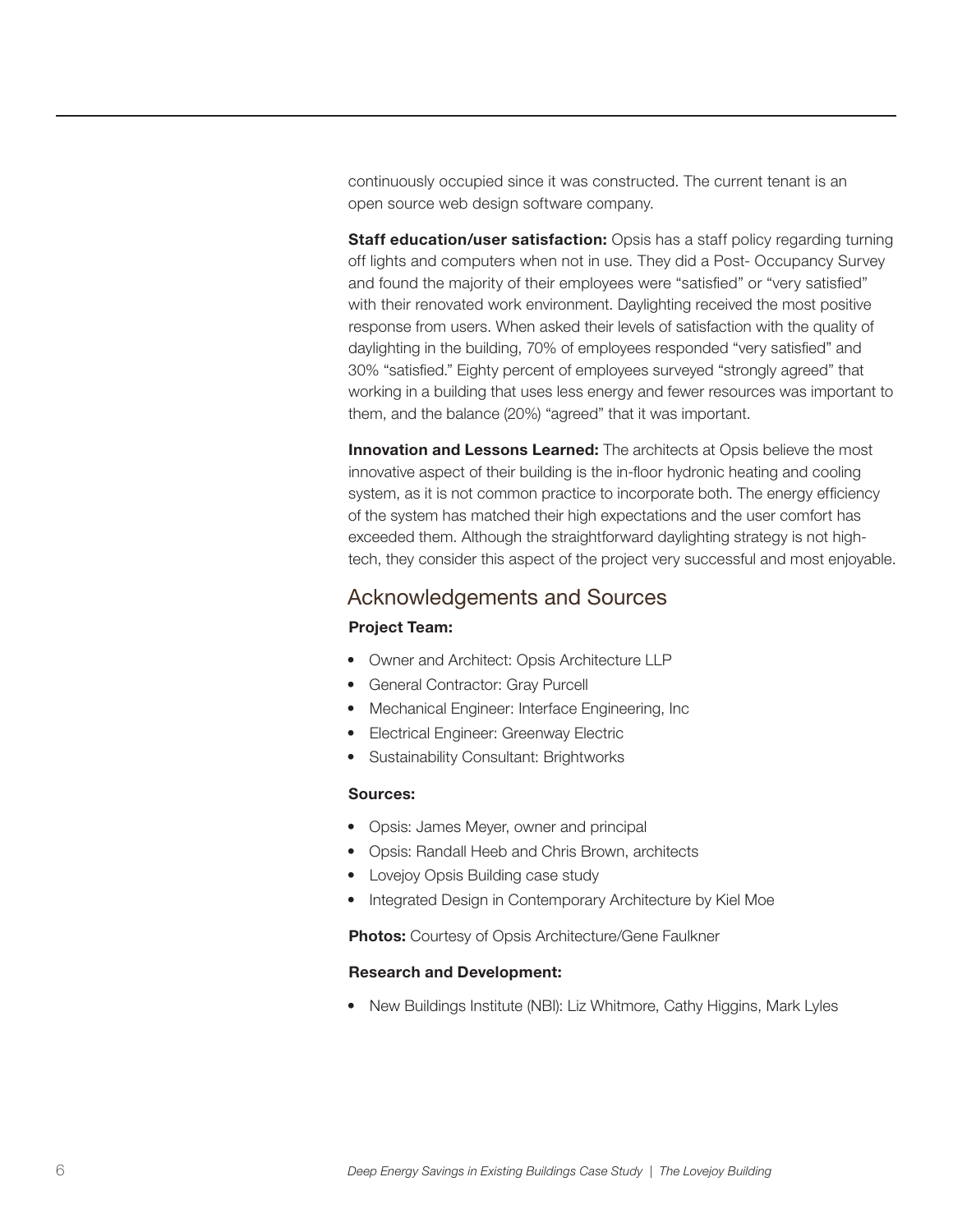continuously occupied since it was constructed. The current tenant is an open source web design software company.

**Staff education/user satisfaction:** Opsis has a staff policy regarding turning off lights and computers when not in use. They did a Post- Occupancy Survey and found the majority of their employees were "satisfied" or "very satisfied" with their renovated work environment. Daylighting received the most positive response from users. When asked their levels of satisfaction with the quality of daylighting in the building, 70% of employees responded "very satisfied" and 30% "satisfied." Eighty percent of employees surveyed "strongly agreed" that working in a building that uses less energy and fewer resources was important to them, and the balance (20%) "agreed" that it was important.

**Innovation and Lessons Learned:** The architects at Opsis believe the most innovative aspect of their building is the in-floor hydronic heating and cooling system, as it is not common practice to incorporate both. The energy efficiency of the system has matched their high expectations and the user comfort has exceeded them. Although the straightforward daylighting strategy is not hightech, they consider this aspect of the project very successful and most enjoyable.

## Acknowledgements and Sources

#### **Project Team:**

- Owner and Architect: Opsis Architecture LLP
- General Contractor: Gray Purcell
- Mechanical Engineer: Interface Engineering, Inc
- • Electrical Engineer: Greenway Electric
- Sustainability Consultant: Brightworks

#### **Sources:**

- Opsis: James Meyer, owner and principal
- Opsis: Randall Heeb and Chris Brown, architects
- Lovejoy Opsis Building case study
- Integrated Design in Contemporary Architecture by Kiel Moe

**Photos:** Courtesy of Opsis Architecture/Gene Faulkner

#### **Research and Development:**

• New Buildings Institute (NBI): Liz Whitmore, Cathy Higgins, Mark Lyles